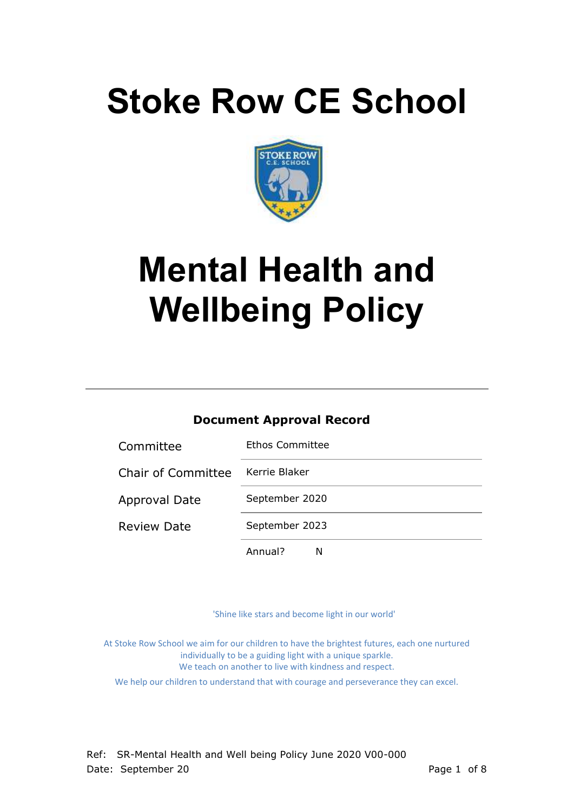# **Stoke Row CE School**



# **Mental Health and Wellbeing Policy**

## **Document Approval Record**

| Committee                 | Ethos Committee |
|---------------------------|-----------------|
| <b>Chair of Committee</b> | Kerrie Blaker   |
| <b>Approval Date</b>      | September 2020  |
| <b>Review Date</b>        | September 2023  |
|                           | Annual?<br>N    |

'Shine like stars and become light in our world'

At Stoke Row School we aim for our children to have the brightest futures, each one nurtured individually to be a guiding light with a unique sparkle. We teach on another to live with kindness and respect.

We help our children to understand that with courage and perseverance they can excel.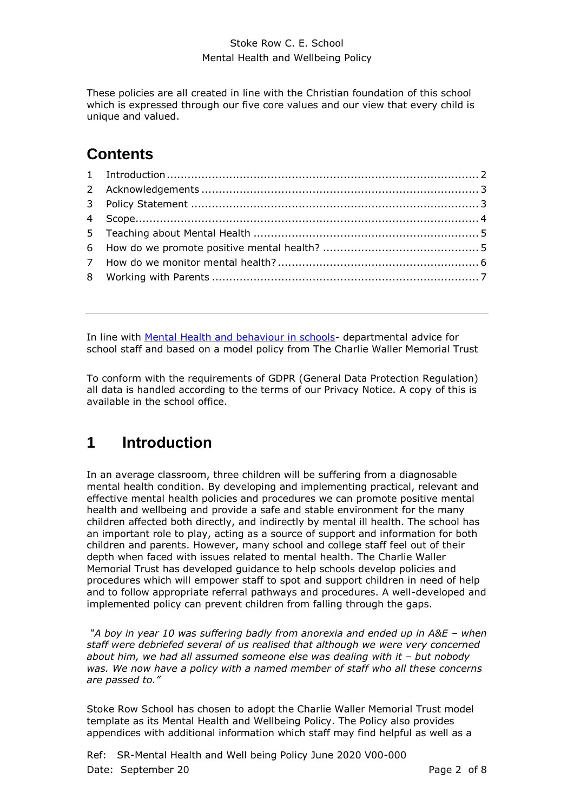### Stoke Row C. E. School Mental Health and Wellbeing Policy

These policies are all created in line with the Christian foundation of this school which is expressed through our five core values and our view that every child is unique and valued.

## **Contents**

In line with [Mental Health and behaviour in schools-](https://www.gov.uk/government/publications/mental-health-and-behaviour-in-schools--2) departmental advice for school staff and based on a model policy from The Charlie Waller Memorial Trust

To conform with the requirements of GDPR (General Data Protection Regulation) all data is handled according to the terms of our Privacy Notice. A copy of this is available in the school office.

## <span id="page-1-0"></span>**1 Introduction**

In an average classroom, three children will be suffering from a diagnosable mental health condition. By developing and implementing practical, relevant and effective mental health policies and procedures we can promote positive mental health and wellbeing and provide a safe and stable environment for the many children affected both directly, and indirectly by mental ill health. The school has an important role to play, acting as a source of support and information for both children and parents. However, many school and college staff feel out of their depth when faced with issues related to mental health. The Charlie Waller Memorial Trust has developed guidance to help schools develop policies and procedures which will empower staff to spot and support children in need of help and to follow appropriate referral pathways and procedures. A well-developed and implemented policy can prevent children from falling through the gaps.

*"A boy in year 10 was suffering badly from anorexia and ended up in A&E – when staff were debriefed several of us realised that although we were very concerned*  about him, we had all assumed someone else was dealing with it - but nobody *was. We now have a policy with a named member of staff who all these concerns are passed to."* 

Stoke Row School has chosen to adopt the Charlie Waller Memorial Trust model template as its Mental Health and Wellbeing Policy. The Policy also provides appendices with additional information which staff may find helpful as well as a

Ref: SR-Mental Health and Well being Policy June 2020 V00-000 Date: September 20 **Page 2 of 8** Page 2 of 8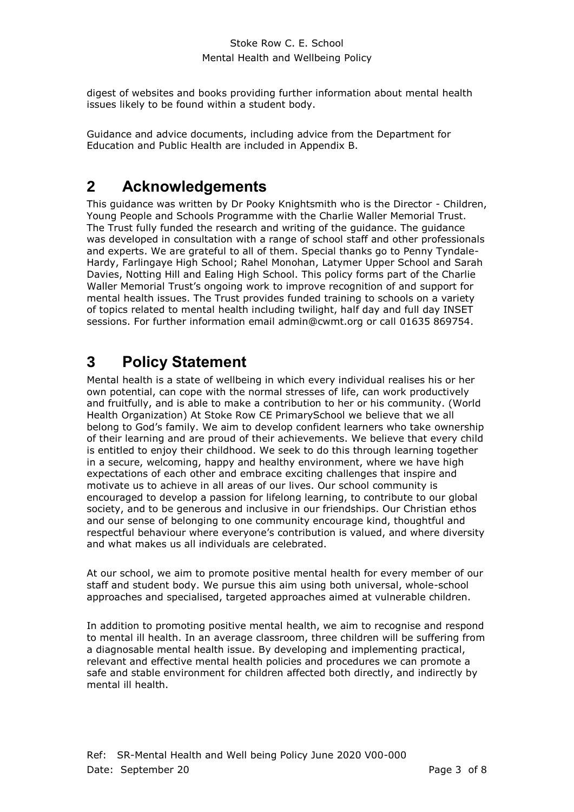digest of websites and books providing further information about mental health issues likely to be found within a student body.

Guidance and advice documents, including advice from the Department for Education and Public Health are included in Appendix B.

## <span id="page-2-0"></span>**2 Acknowledgements**

This guidance was written by Dr Pooky Knightsmith who is the Director - Children, Young People and Schools Programme with the Charlie Waller Memorial Trust. The Trust fully funded the research and writing of the guidance. The guidance was developed in consultation with a range of school staff and other professionals and experts. We are grateful to all of them. Special thanks go to Penny Tyndale-Hardy, Farlingaye High School; Rahel Monohan, Latymer Upper School and Sarah Davies, Notting Hill and Ealing High School. This policy forms part of the Charlie Waller Memorial Trust's ongoing work to improve recognition of and support for mental health issues. The Trust provides funded training to schools on a variety of topics related to mental health including twilight, half day and full day INSET sessions. For further information email admin@cwmt.org or call 01635 869754.

## <span id="page-2-1"></span>**3 Policy Statement**

Mental health is a state of wellbeing in which every individual realises his or her own potential, can cope with the normal stresses of life, can work productively and fruitfully, and is able to make a contribution to her or his community. (World Health Organization) At Stoke Row CE PrimarySchool we believe that we all belong to God's family. We aim to develop confident learners who take ownership of their learning and are proud of their achievements. We believe that every child is entitled to enjoy their childhood. We seek to do this through learning together in a secure, welcoming, happy and healthy environment, where we have high expectations of each other and embrace exciting challenges that inspire and motivate us to achieve in all areas of our lives. Our school community is encouraged to develop a passion for lifelong learning, to contribute to our global society, and to be generous and inclusive in our friendships. Our Christian ethos and our sense of belonging to one community encourage kind, thoughtful and respectful behaviour where everyone's contribution is valued, and where diversity and what makes us all individuals are celebrated.

At our school, we aim to promote positive mental health for every member of our staff and student body. We pursue this aim using both universal, whole-school approaches and specialised, targeted approaches aimed at vulnerable children.

In addition to promoting positive mental health, we aim to recognise and respond to mental ill health. In an average classroom, three children will be suffering from a diagnosable mental health issue. By developing and implementing practical, relevant and effective mental health policies and procedures we can promote a safe and stable environment for children affected both directly, and indirectly by mental ill health.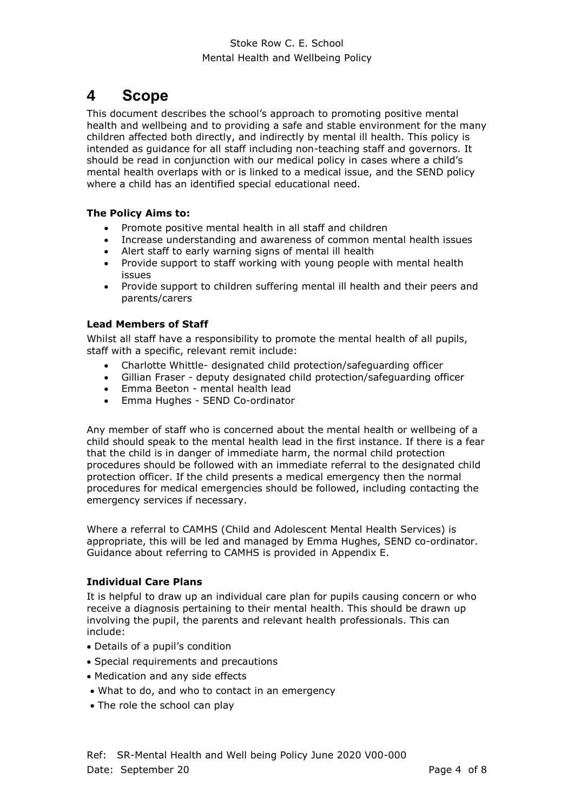## <span id="page-3-0"></span>**4 Scope**

This document describes the school's approach to promoting positive mental health and wellbeing and to providing a safe and stable environment for the many children affected both directly, and indirectly by mental ill health. This policy is intended as guidance for all staff including non-teaching staff and governors. It should be read in conjunction with our medical policy in cases where a child's mental health overlaps with or is linked to a medical issue, and the SEND policy where a child has an identified special educational need.

## **The Policy Aims to:**

- Promote positive mental health in all staff and children
- Increase understanding and awareness of common mental health issues
- Alert staff to early warning signs of mental ill health
- Provide support to staff working with young people with mental health issues
- Provide support to children suffering mental ill health and their peers and parents/carers

### **Lead Members of Staff**

Whilst all staff have a responsibility to promote the mental health of all pupils, staff with a specific, relevant remit include:

- Charlotte Whittle- designated child protection/safeguarding officer
- Gillian Fraser deputy designated child protection/safeguarding officer
- Emma Beeton mental health lead
- Emma Hughes SEND Co-ordinator

Any member of staff who is concerned about the mental health or wellbeing of a child should speak to the mental health lead in the first instance. If there is a fear that the child is in danger of immediate harm, the normal child protection procedures should be followed with an immediate referral to the designated child protection officer. If the child presents a medical emergency then the normal procedures for medical emergencies should be followed, including contacting the emergency services if necessary.

Where a referral to CAMHS (Child and Adolescent Mental Health Services) is appropriate, this will be led and managed by Emma Hughes, SEND co-ordinator. Guidance about referring to CAMHS is provided in Appendix E.

## **Individual Care Plans**

It is helpful to draw up an individual care plan for pupils causing concern or who receive a diagnosis pertaining to their mental health. This should be drawn up involving the pupil, the parents and relevant health professionals. This can include:

- Details of a pupil's condition
- Special requirements and precautions
- Medication and any side effects
- What to do, and who to contact in an emergency
- The role the school can play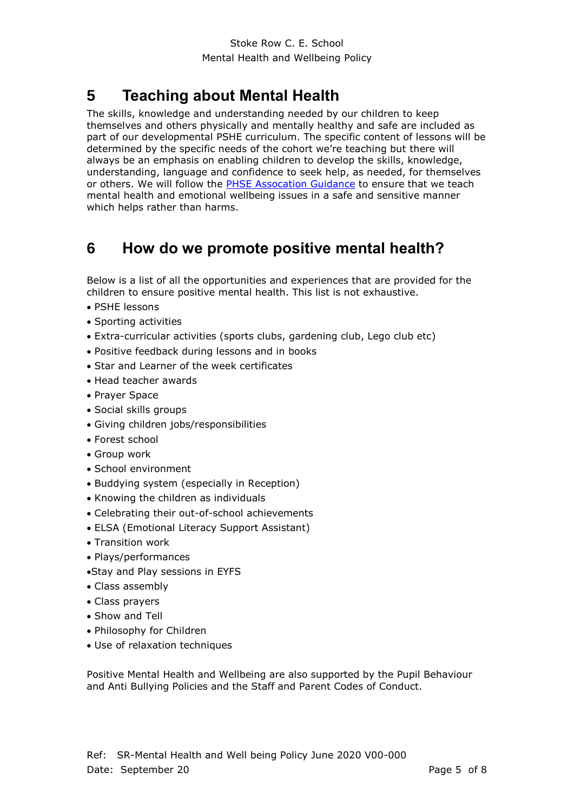# <span id="page-4-0"></span>**5 Teaching about Mental Health**

The skills, knowledge and understanding needed by our children to keep themselves and others physically and mentally healthy and safe are included as part of our developmental PSHE curriculum. The specific content of lessons will be determined by the specific needs of the cohort we're teaching but there will always be an emphasis on enabling children to develop the skills, knowledge, understanding, language and confidence to seek help, as needed, for themselves or others. We will follow the [PHSE Assocation Guidance](https://www.pshe-association.org.uk/curriculum-and-resources/resources/guidance-teaching-about-mental-health-and) to ensure that we teach mental health and emotional wellbeing issues in a safe and sensitive manner which helps rather than harms.

## <span id="page-4-1"></span>**6 How do we promote positive mental health?**

Below is a list of all the opportunities and experiences that are provided for the children to ensure positive mental health. This list is not exhaustive.

- PSHE lessons
- Sporting activities
- Extra-curricular activities (sports clubs, gardening club, Lego club etc)
- Positive feedback during lessons and in books
- Star and Learner of the week certificates
- Head teacher awards
- Prayer Space
- Social skills groups
- Giving children jobs/responsibilities
- Forest school
- Group work
- School environment
- Buddying system (especially in Reception)
- Knowing the children as individuals
- Celebrating their out-of-school achievements
- ELSA (Emotional Literacy Support Assistant)
- Transition work
- Plays/performances
- Stay and Play sessions in EYFS
- Class assembly
- Class prayers
- Show and Tell
- Philosophy for Children
- Use of relaxation techniques

Positive Mental Health and Wellbeing are also supported by the Pupil Behaviour and Anti Bullying Policies and the Staff and Parent Codes of Conduct.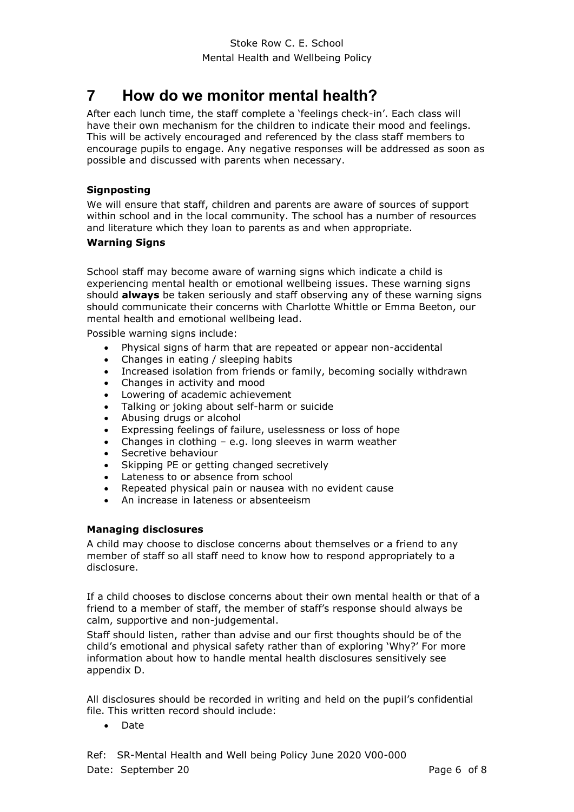## <span id="page-5-0"></span>**7 How do we monitor mental health?**

After each lunch time, the staff complete a 'feelings check-in'. Each class will have their own mechanism for the children to indicate their mood and feelings. This will be actively encouraged and referenced by the class staff members to encourage pupils to engage. Any negative responses will be addressed as soon as possible and discussed with parents when necessary.

#### **Signposting**

We will ensure that staff, children and parents are aware of sources of support within school and in the local community. The school has a number of resources and literature which they loan to parents as and when appropriate.

#### **Warning Signs**

School staff may become aware of warning signs which indicate a child is experiencing mental health or emotional wellbeing issues. These warning signs should **always** be taken seriously and staff observing any of these warning signs should communicate their concerns with Charlotte Whittle or Emma Beeton, our mental health and emotional wellbeing lead.

Possible warning signs include:

- Physical signs of harm that are repeated or appear non-accidental
- Changes in eating / sleeping habits
- Increased isolation from friends or family, becoming socially withdrawn
- Changes in activity and mood
- Lowering of academic achievement
- Talking or joking about self-harm or suicide
- Abusing drugs or alcohol
- Expressing feelings of failure, uselessness or loss of hope
- Changes in clothing e.g. long sleeves in warm weather
- Secretive behaviour
- Skipping PE or getting changed secretively
- Lateness to or absence from school
- Repeated physical pain or nausea with no evident cause
- An increase in lateness or absenteeism

#### **Managing disclosures**

A child may choose to disclose concerns about themselves or a friend to any member of staff so all staff need to know how to respond appropriately to a disclosure.

If a child chooses to disclose concerns about their own mental health or that of a friend to a member of staff, the member of staff's response should always be calm, supportive and non-judgemental.

Staff should listen, rather than advise and our first thoughts should be of the child's emotional and physical safety rather than of exploring 'Why?' For more information about how to handle mental health disclosures sensitively see appendix D.

All disclosures should be recorded in writing and held on the pupil's confidential file. This written record should include:

Date

Ref: SR-Mental Health and Well being Policy June 2020 V00-000 Date: September 20 **Page 6 of 8** Page 6 of 8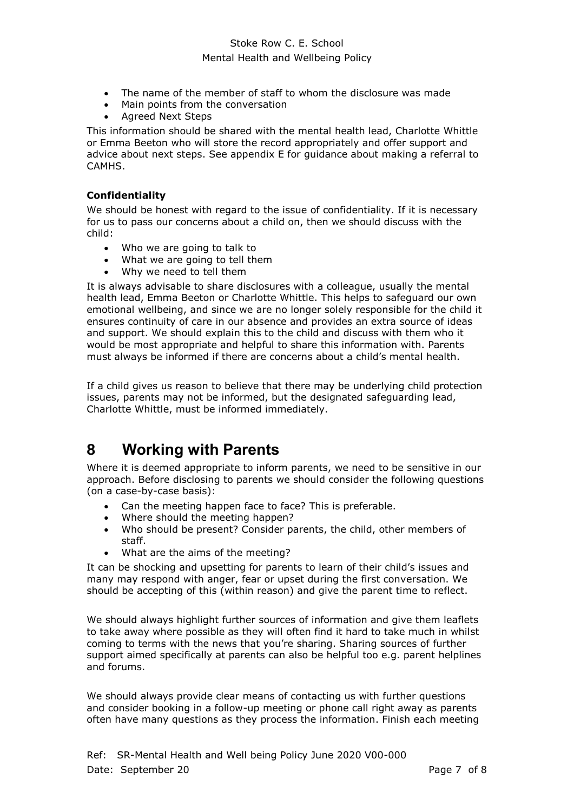### Stoke Row C. E. School Mental Health and Wellbeing Policy

- The name of the member of staff to whom the disclosure was made
- Main points from the conversation
- Agreed Next Steps

This information should be shared with the mental health lead, Charlotte Whittle or Emma Beeton who will store the record appropriately and offer support and advice about next steps. See appendix E for guidance about making a referral to CAMHS.

#### **Confidentiality**

We should be honest with regard to the issue of confidentiality. If it is necessary for us to pass our concerns about a child on, then we should discuss with the child:

- Who we are going to talk to
- What we are going to tell them
- Why we need to tell them

It is always advisable to share disclosures with a colleague, usually the mental health lead, Emma Beeton or Charlotte Whittle. This helps to safeguard our own emotional wellbeing, and since we are no longer solely responsible for the child it ensures continuity of care in our absence and provides an extra source of ideas and support. We should explain this to the child and discuss with them who it would be most appropriate and helpful to share this information with. Parents must always be informed if there are concerns about a child's mental health.

If a child gives us reason to believe that there may be underlying child protection issues, parents may not be informed, but the designated safeguarding lead, Charlotte Whittle, must be informed immediately.

## <span id="page-6-0"></span>**8 Working with Parents**

Where it is deemed appropriate to inform parents, we need to be sensitive in our approach. Before disclosing to parents we should consider the following questions (on a case-by-case basis):

- Can the meeting happen face to face? This is preferable.
- Where should the meeting happen?
- Who should be present? Consider parents, the child, other members of staff.
- What are the aims of the meeting?

It can be shocking and upsetting for parents to learn of their child's issues and many may respond with anger, fear or upset during the first conversation. We should be accepting of this (within reason) and give the parent time to reflect.

We should always highlight further sources of information and give them leaflets to take away where possible as they will often find it hard to take much in whilst coming to terms with the news that you're sharing. Sharing sources of further support aimed specifically at parents can also be helpful too e.g. parent helplines and forums.

We should always provide clear means of contacting us with further questions and consider booking in a follow-up meeting or phone call right away as parents often have many questions as they process the information. Finish each meeting